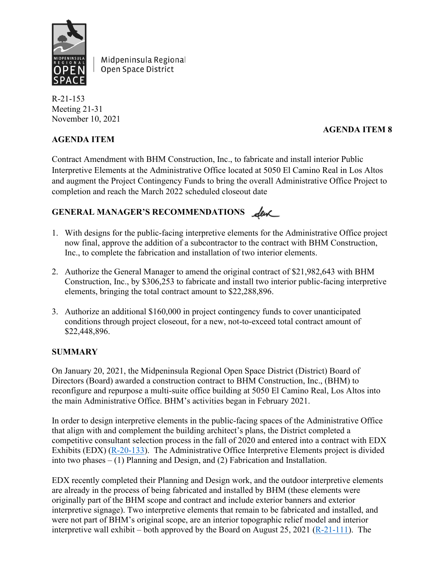

Midpeninsula Regional Open Space District

R-21-153 Meeting 21-31 November 10, 2021

## **AGENDA ITEM**

# **AGENDA ITEM 8**

Contract Amendment with BHM Construction, Inc., to fabricate and install interior Public Interpretive Elements at the Administrative Office located at 5050 El Camino Real in Los Altos and augment the Project Contingency Funds to bring the overall Administrative Office Project to completion and reach the March 2022 scheduled closeout date

# GENERAL MANAGER'S RECOMMENDATIONS <u>Leve</u>

- 1. With designs for the public-facing interpretive elements for the Administrative Office project now final, approve the addition of a subcontractor to the contract with BHM Construction, Inc., to complete the fabrication and installation of two interior elements.
- 2. Authorize the General Manager to amend the original contract of \$21,982,643 with BHM Construction, Inc., by \$306,253 to fabricate and install two interior public-facing interpretive elements, bringing the total contract amount to \$22,288,896.
- 3. Authorize an additional \$160,000 in project contingency funds to cover unanticipated conditions through project closeout, for a new, not-to-exceed total contract amount of \$22,448,896.

## **SUMMARY**

On January 20, 2021, the Midpeninsula Regional Open Space District (District) Board of Directors (Board) awarded a construction contract to BHM Construction, Inc., (BHM) to reconfigure and repurpose a multi-suite office building at 5050 El Camino Real, Los Altos into the main Administrative Office. BHM's activities began in February 2021.

In order to design interpretive elements in the public-facing spaces of the Administrative Office that align with and complement the building architect's plans, the District completed a competitive consultant selection process in the fall of 2020 and entered into a contract with EDX Exhibits (EDX) [\(R-20-133\)](https://www.openspace.org/sites/default/files/20201118_AOInterpretiveDesignContract_R-20-133_0.pdf). The Administrative Office Interpretive Elements project is divided into two phases – (1) Planning and Design, and (2) Fabrication and Installation.

EDX recently completed their Planning and Design work, and the outdoor interpretive elements are already in the process of being fabricated and installed by BHM (these elements were originally part of the BHM scope and contract and include exterior banners and exterior interpretive signage). Two interpretive elements that remain to be fabricated and installed, and were not part of BHM's original scope, are an interior topographic relief model and interior interpretive wall exhibit – both approved by the Board on August 25, 2021 [\(R-21-111\)](https://www.openspace.org/sites/default/files/20210825_AOInterpretiveElementsDesign_R-21-111.pdf). The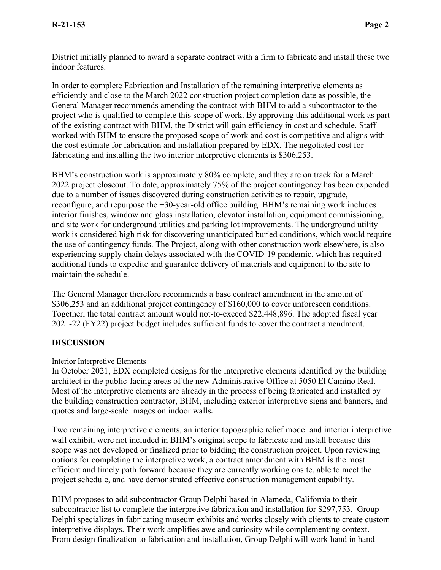District initially planned to award a separate contract with a firm to fabricate and install these two indoor features.

In order to complete Fabrication and Installation of the remaining interpretive elements as efficiently and close to the March 2022 construction project completion date as possible, the General Manager recommends amending the contract with BHM to add a subcontractor to the project who is qualified to complete this scope of work. By approving this additional work as part of the existing contract with BHM, the District will gain efficiency in cost and schedule. Staff worked with BHM to ensure the proposed scope of work and cost is competitive and aligns with the cost estimate for fabrication and installation prepared by EDX. The negotiated cost for fabricating and installing the two interior interpretive elements is \$306,253.

BHM's construction work is approximately 80% complete, and they are on track for a March 2022 project closeout. To date, approximately 75% of the project contingency has been expended due to a number of issues discovered during construction activities to repair, upgrade, reconfigure, and repurpose the +30-year-old office building. BHM's remaining work includes interior finishes, window and glass installation, elevator installation, equipment commissioning, and site work for underground utilities and parking lot improvements. The underground utility work is considered high risk for discovering unanticipated buried conditions, which would require the use of contingency funds. The Project, along with other construction work elsewhere, is also experiencing supply chain delays associated with the COVID-19 pandemic, which has required additional funds to expedite and guarantee delivery of materials and equipment to the site to maintain the schedule.

The General Manager therefore recommends a base contract amendment in the amount of \$306,253 and an additional project contingency of \$160,000 to cover unforeseen conditions. Together, the total contract amount would not-to-exceed \$22,448,896. The adopted fiscal year 2021-22 (FY22) project budget includes sufficient funds to cover the contract amendment.

## **DISCUSSION**

#### Interior Interpretive Elements

In October 2021, EDX completed designs for the interpretive elements identified by the building architect in the public-facing areas of the new Administrative Office at 5050 El Camino Real. Most of the interpretive elements are already in the process of being fabricated and installed by the building construction contractor, BHM, including exterior interpretive signs and banners, and quotes and large-scale images on indoor walls.

Two remaining interpretive elements, an interior topographic relief model and interior interpretive wall exhibit, were not included in BHM's original scope to fabricate and install because this scope was not developed or finalized prior to bidding the construction project. Upon reviewing options for completing the interpretive work, a contract amendment with BHM is the most efficient and timely path forward because they are currently working onsite, able to meet the project schedule, and have demonstrated effective construction management capability.

BHM proposes to add subcontractor Group Delphi based in Alameda, California to their subcontractor list to complete the interpretive fabrication and installation for \$297,753. Group Delphi specializes in fabricating museum exhibits and works closely with clients to create custom interpretive displays. Their work amplifies awe and curiosity while complementing context. From design finalization to fabrication and installation, Group Delphi will work hand in hand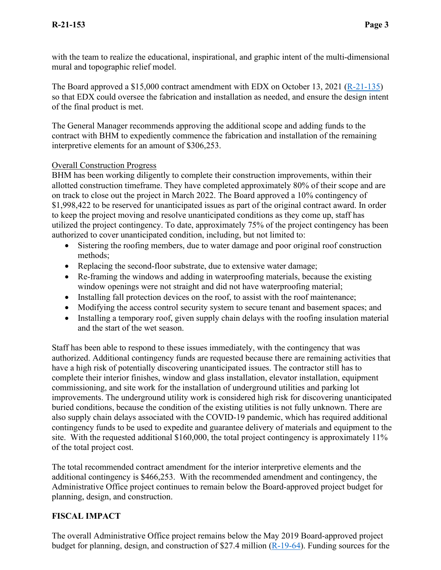with the team to realize the educational, inspirational, and graphic intent of the multi-dimensional mural and topographic relief model.

The Board approved a \$15,000 contract amendment with EDX on October 13, 2021 [\(R-21-135\)](https://www.openspace.org/sites/default/files/20211013_AOInterpretiveElements_R-21-135.pdf) so that EDX could oversee the fabrication and installation as needed, and ensure the design intent of the final product is met.

The General Manager recommends approving the additional scope and adding funds to the contract with BHM to expediently commence the fabrication and installation of the remaining interpretive elements for an amount of \$306,253.

#### Overall Construction Progress

BHM has been working diligently to complete their construction improvements, within their allotted construction timeframe. They have completed approximately 80% of their scope and are on track to close out the project in March 2022. The Board approved a 10% contingency of \$1,998,422 to be reserved for unanticipated issues as part of the original contract award. In order to keep the project moving and resolve unanticipated conditions as they come up, staff has utilized the project contingency. To date, approximately 75% of the project contingency has been authorized to cover unanticipated condition, including, but not limited to:

- Sistering the roofing members, due to water damage and poor original roof construction methods;
- Replacing the second-floor substrate, due to extensive water damage;
- Re-framing the windows and adding in waterproofing materials, because the existing window openings were not straight and did not have waterproofing material;
- Installing fall protection devices on the roof, to assist with the roof maintenance;
- Modifying the access control security system to secure tenant and basement spaces; and
- Installing a temporary roof, given supply chain delays with the roofing insulation material and the start of the wet season.

Staff has been able to respond to these issues immediately, with the contingency that was authorized. Additional contingency funds are requested because there are remaining activities that have a high risk of potentially discovering unanticipated issues. The contractor still has to complete their interior finishes, window and glass installation, elevator installation, equipment commissioning, and site work for the installation of underground utilities and parking lot improvements. The underground utility work is considered high risk for discovering unanticipated buried conditions, because the condition of the existing utilities is not fully unknown. There are also supply chain delays associated with the COVID-19 pandemic, which has required additional contingency funds to be used to expedite and guarantee delivery of materials and equipment to the site. With the requested additional \$160,000, the total project contingency is approximately 11% of the total project cost.

The total recommended contract amendment for the interior interpretive elements and the additional contingency is \$466,253. With the recommended amendment and contingency, the Administrative Office project continues to remain below the Board-approved project budget for planning, design, and construction.

#### **FISCAL IMPACT**

The overall Administrative Office project remains below the May 2019 Board-approved project budget for planning, design, and construction of \$27.4 million [\(R-19-64\)](https://www.openspace.org/about-us/meetings/bod-20190522). Funding sources for the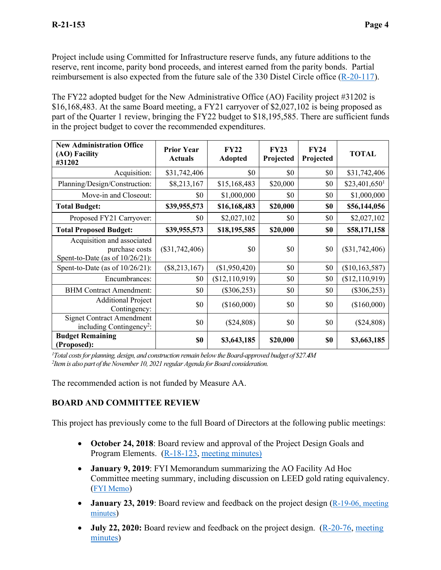Project include using Committed for Infrastructure reserve funds, any future additions to the reserve, rent income, parity bond proceeds, and interest earned from the parity bonds. Partial reimbursement is also expected from the future sale of the 330 Distel Circle office [\(R-20-117\)](https://www.openspace.org/sites/default/files/20201028_330DistelSale_R-20-117.pdf).

The FY22 adopted budget for the New Administrative Office (AO) Facility project #31202 is \$16,168,483. At the same Board meeting, a FY21 carryover of \$2,027,102 is being proposed as part of the Quarter 1 review, bringing the FY22 budget to \$18,195,585. There are sufficient funds in the project budget to cover the recommended expenditures.

| <b>New Administration Office</b><br>(AO) Facility<br>#31202                        | <b>Prior Year</b><br><b>Actuals</b> | FY22<br><b>Adopted</b> | FY23<br>Projected | FY24<br>Projected | <b>TOTAL</b>               |
|------------------------------------------------------------------------------------|-------------------------------------|------------------------|-------------------|-------------------|----------------------------|
| Acquisition:                                                                       | \$31,742,406                        | \$0                    | \$0               | \$0               | \$31,742,406               |
| Planning/Design/Construction:                                                      | \$8,213,167                         | \$15,168,483           | \$20,000          | \$0               | $$23,401,650$ <sup>1</sup> |
| Move-in and Closeout:                                                              | \$0                                 | \$1,000,000            | \$0               | \$0               | \$1,000,000                |
| <b>Total Budget:</b>                                                               | \$39,955,573                        | \$16,168,483           | \$20,000          | \$0               | \$56,144,056               |
| Proposed FY21 Carryover:                                                           | \$0                                 | \$2,027,102            | \$0               | \$0               | \$2,027,102                |
| <b>Total Proposed Budget:</b>                                                      | \$39,955,573                        | \$18,195,585           | \$20,000          | \$0               | \$58,171,158               |
| Acquisition and associated<br>purchase costs<br>Spent-to-Date (as of $10/26/21$ ): | $(\$31,742,406)$                    | \$0                    | \$0               | \$0               | $(\$31,742,406)$           |
| Spent-to-Date (as of $10/26/21$ ):                                                 | $(\$8,213,167)$                     | (\$1,950,420)          | \$0               | \$0               | (\$10,163,587)             |
| Encumbrances:                                                                      | \$0                                 | (\$12,110,919)         | \$0               | \$0               | (\$12,110,919)             |
| <b>BHM Contract Amendment:</b>                                                     | \$0                                 | $(\$306,253)$          | \$0               | \$0               | $(\$306,253)$              |
| <b>Additional Project</b><br>Contingency:                                          | \$0                                 | (\$160,000)            | \$0               | \$0               | (\$160,000)                |
| <b>Signet Contract Amendment</b><br>including Contingency <sup>2</sup> :           | \$0                                 | (\$24,808)             | \$0               | \$0               | (\$24,808)                 |
| <b>Budget Remaining</b><br>(Proposed):                                             | \$0                                 | \$3,643,185            | \$20,000          | \$0               | \$3,663,185                |

*1 Total costs for planning, design, and construction remain below the Board-approved budget of \$27.4M 2 Item is also part of the November 10, 2021 regular Agenda for Board consideration.*

The recommended action is not funded by Measure AA.

## **BOARD AND COMMITTEE REVIEW**

This project has previously come to the full Board of Directors at the following public meetings:

- **October 24, 2018**: Board review and approval of the Project Design Goals and Program Elements. [\(R-18-123,](https://www.openspace.org/sites/default/files/20181024_AO_Apprv_Prioritization_Prog_Goals%2BOutreach_R-18-123.pdf) [meeting minutes\)](https://www.openspace.org/sites/default/files/20181024_BOD_minutes_APPROVED.pdf)
- **January 9, 2019**: FYI Memorandum summarizing the AO Facility Ad Hoc Committee meeting summary, including discussion on LEED gold rating equivalency. [\(FYI Memo\)](https://www.openspace.org/sites/default/files/20190109_FYI_AOAdHocUpdate.pdf)
- **January 23, 2019**: Board review and feedback on the project design [\(R-19-06,](https://www.openspace.org/sites/default/files/20190123_PresentationandDiscussionofAdministrativeOfficeRemodelSchematicDesgin_R-19-06.pdf) meeting [minutes\)](https://www.openspace.org/sites/default/files/20190123_BOD_minutes_APPROVED.pdf)
- **July 22, 2020:** Board review and feedback on the project design. [\(R-20-76,](https://www.openspace.org/about-us/meetings/20-16) meeting [minutes\)](https://www.openspace.org/sites/default/files/20200722_BOD_minutes_APPROVED.pdf)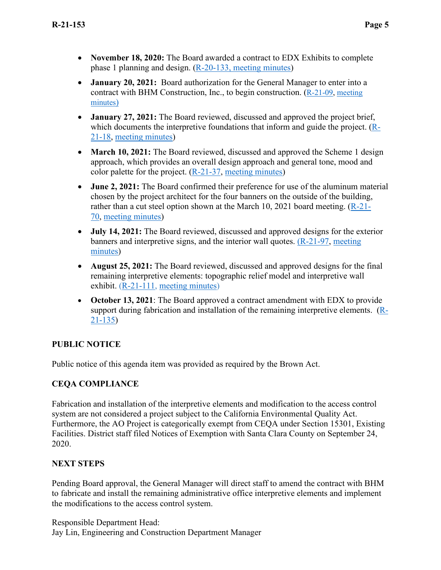- **November 18, 2020:** The Board awarded a contract to EDX Exhibits to complete phase 1 planning and design. [\(R-20-133,](https://www.openspace.org/sites/default/files/20201118_AOInterpretiveDesignContract_R-20-133_0.pdf) [meeting minutes\)](https://www.openspace.org/sites/default/files/20201118_BOD_minutes_APPROVED.pdf)
- **January 20, 2021:** Board authorization for the General Manager to enter into a contract with BHM Construction, Inc., to begin construction. [\(R-21-09,](https://www.openspace.org/sites/default/files/20210120_AwardofContactforAdminOfficeProject_R-21-09.pdf) [meeting](https://www.openspace.org/sites/default/files/20210120_BOD_minutes_APPROVED.pdf)  [minutes\)](https://www.openspace.org/sites/default/files/20210120_BOD_minutes_APPROVED.pdf)
- **January 27, 2021:** The Board reviewed, discussed and approved the project brief, which documents the interpretive foundations that inform and guide the project. [\(R-](https://www.openspace.org/sites/default/files/20210127_AOInterpretiveElements_R-21-18_0.pdf)[21-18,](https://www.openspace.org/sites/default/files/20210127_AOInterpretiveElements_R-21-18_0.pdf) [meeting minutes\)](https://www.openspace.org/sites/default/files/20210127_BOD_minutes_APPROVED.pdf)
- **March 10, 2021:** The Board reviewed, discussed and approved the Scheme 1 design approach, which provides an overall design approach and general tone, mood and color palette for the project. [\(R-21-37,](https://www.openspace.org/sites/default/files/20210310_DraftDesignSchemesforAOInterpretiveElements_R-21-37.pdf) [meeting minutes\)](https://www.openspace.org/sites/default/files/20210310_BOD_minutes_APPROVED.pdf)
- **June 2, 2021:** The Board confirmed their preference for use of the aluminum material chosen by the project architect for the four banners on the outside of the building, rather than a cut steel option shown at the March 10, 2021 board meeting. [\(R-21-](https://www.openspace.org/sites/default/files/20210602_5050ExteriorBanners_R-21-70.pdf) [70,](https://www.openspace.org/sites/default/files/20210602_5050ExteriorBanners_R-21-70.pdf) [meeting minutes\)](https://www.openspace.org/sites/default/files/20210602_BOD_minutes_APPROVED.pdf)
- **July 14, 2021:** The Board reviewed, discussed and approved designs for the exterior banners and interpretive signs, and the interior wall quotes. [\(R-21-97,](https://www.openspace.org/sites/default/files/20210714_AOInterpretiveElementsDesign_R-21-97.pdf) [meeting](https://www.openspace.org/sites/default/files/20210714_BOD_minutes_APPROVED.pdf)  [minutes\)](https://www.openspace.org/sites/default/files/20210714_BOD_minutes_APPROVED.pdf)
- **August 25, 2021:** The Board reviewed, discussed and approved designs for the final remaining interpretive elements: topographic relief model and interpretive wall exhibit. [\(R-21-111,](https://www.openspace.org/sites/default/files/20210825_AOInterpretiveElementsDesign_R-21-111.pdf) [meeting minutes\)](https://www.openspace.org/sites/default/files/20210825_BOD_minutes_APPROVED.pdf)
- **October 13, 2021**: The Board approved a contract amendment with EDX to provide support during fabrication and installation of the remaining interpretive elements. [\(R-](https://www.openspace.org/sites/default/files/20211013_AOInterpretiveElements_R-21-135.pdf)[21-135\)](https://www.openspace.org/sites/default/files/20211013_AOInterpretiveElements_R-21-135.pdf)

## **PUBLIC NOTICE**

Public notice of this agenda item was provided as required by the Brown Act.

## **CEQA COMPLIANCE**

Fabrication and installation of the interpretive elements and modification to the access control system are not considered a project subject to the California Environmental Quality Act. Furthermore, the AO Project is categorically exempt from CEQA under Section 15301, Existing Facilities. District staff filed Notices of Exemption with Santa Clara County on September 24, 2020.

## **NEXT STEPS**

Pending Board approval, the General Manager will direct staff to amend the contract with BHM to fabricate and install the remaining administrative office interpretive elements and implement the modifications to the access control system.

Responsible Department Head: Jay Lin, Engineering and Construction Department Manager